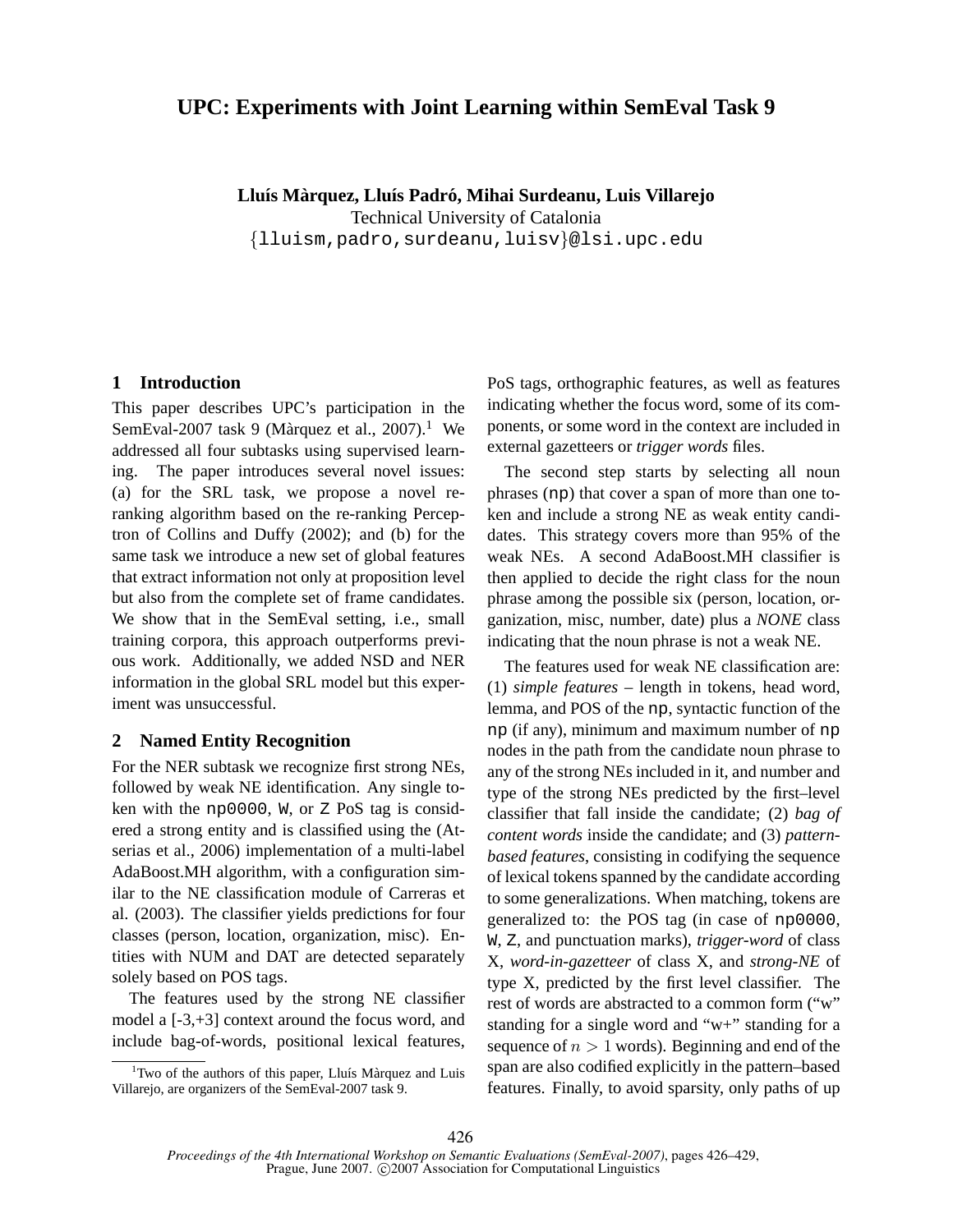# **UPC: Experiments with Joint Learning within SemEval Task 9**

**Llu´ıs Marquez, Llu ` ´ıs Padro, Mihai Surdeanu, Luis Villarejo ´** Technical University of Catalonia

{lluism,padro,surdeanu,luisv}@lsi.upc.edu

## **1 Introduction**

This paper describes UPC's participation in the SemEval-2007 task 9 (Màrquez et al., 2007).<sup>1</sup> We addressed all four subtasks using supervised learning. The paper introduces several novel issues: (a) for the SRL task, we propose a novel reranking algorithm based on the re-ranking Perceptron of Collins and Duffy (2002); and (b) for the same task we introduce a new set of global features that extract information not only at proposition level but also from the complete set of frame candidates. We show that in the SemEval setting, i.e., small training corpora, this approach outperforms previous work. Additionally, we added NSD and NER information in the global SRL model but this experiment was unsuccessful.

### **2 Named Entity Recognition**

For the NER subtask we recognize first strong NEs, followed by weak NE identification. Any single token with the np0000, W, or Z PoS tag is considered a strong entity and is classified using the (Atserias et al., 2006) implementation of a multi-label AdaBoost.MH algorithm, with a configuration similar to the NE classification module of Carreras et al. (2003). The classifier yields predictions for four classes (person, location, organization, misc). Entities with NUM and DAT are detected separately solely based on POS tags.

The features used by the strong NE classifier model a [-3,+3] context around the focus word, and include bag-of-words, positional lexical features, PoS tags, orthographic features, as well as features indicating whether the focus word, some of its components, or some word in the context are included in external gazetteers or *trigger words* files.

The second step starts by selecting all noun phrases (np) that cover a span of more than one token and include a strong NE as weak entity candidates. This strategy covers more than 95% of the weak NEs. A second AdaBoost.MH classifier is then applied to decide the right class for the noun phrase among the possible six (person, location, organization, misc, number, date) plus a *NONE* class indicating that the noun phrase is not a weak NE.

The features used for weak NE classification are: (1) *simple features* – length in tokens, head word, lemma, and POS of the np, syntactic function of the np (if any), minimum and maximum number of np nodes in the path from the candidate noun phrase to any of the strong NEs included in it, and number and type of the strong NEs predicted by the first–level classifier that fall inside the candidate; (2) *bag of content words* inside the candidate; and (3) *patternbased features*, consisting in codifying the sequence of lexical tokens spanned by the candidate according to some generalizations. When matching, tokens are generalized to: the POS tag (in case of np0000, W, Z, and punctuation marks), *trigger-word* of class X, *word-in-gazetteer* of class X, and *strong-NE* of type X, predicted by the first level classifier. The rest of words are abstracted to a common form ("w" standing for a single word and "w+" standing for a sequence of  $n > 1$  words). Beginning and end of the span are also codified explicitly in the pattern–based features. Finally, to avoid sparsity, only paths of up

 $1$ Two of the authors of this paper, Lluís Màrquez and Luis Villarejo, are organizers of the SemEval-2007 task 9.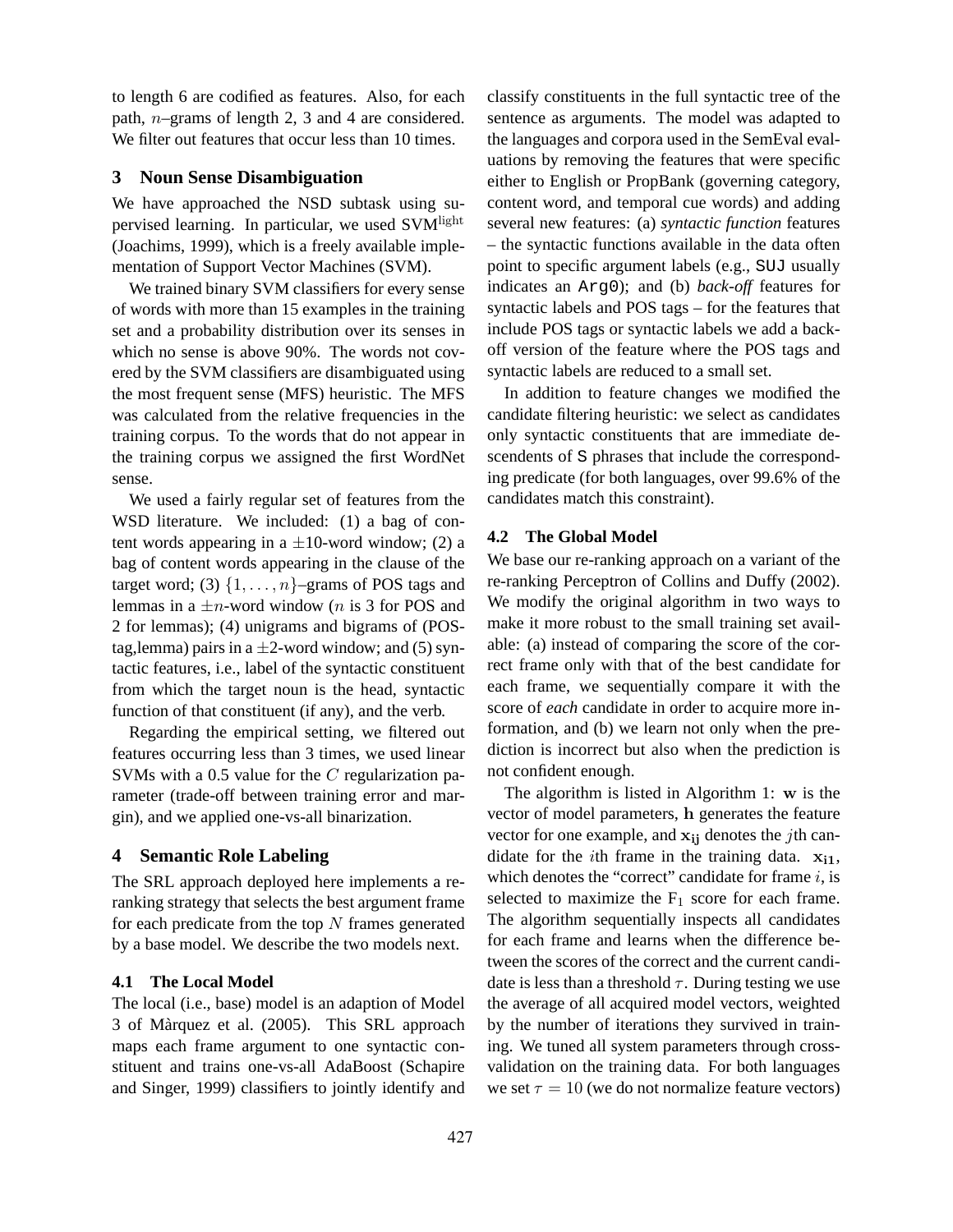to length 6 are codified as features. Also, for each path, n–grams of length 2, 3 and 4 are considered. We filter out features that occur less than 10 times.

## **3 Noun Sense Disambiguation**

We have approached the NSD subtask using supervised learning. In particular, we used SVM<sup>light</sup> (Joachims, 1999), which is a freely available implementation of Support Vector Machines (SVM).

We trained binary SVM classifiers for every sense of words with more than 15 examples in the training set and a probability distribution over its senses in which no sense is above 90%. The words not covered by the SVM classifiers are disambiguated using the most frequent sense (MFS) heuristic. The MFS was calculated from the relative frequencies in the training corpus. To the words that do not appear in the training corpus we assigned the first WordNet sense.

We used a fairly regular set of features from the WSD literature. We included: (1) a bag of content words appearing in a  $\pm 10$ -word window; (2) a bag of content words appearing in the clause of the target word; (3)  $\{1, \ldots, n\}$ –grams of POS tags and lemmas in a  $\pm n$ -word window (*n* is 3 for POS and 2 for lemmas); (4) unigrams and bigrams of (POStag,lemma) pairs in a  $\pm$ 2-word window; and (5) syntactic features, i.e., label of the syntactic constituent from which the target noun is the head, syntactic function of that constituent (if any), and the verb.

Regarding the empirical setting, we filtered out features occurring less than 3 times, we used linear SVMs with a 0.5 value for the C regularization parameter (trade-off between training error and margin), and we applied one-vs-all binarization.

## **4 Semantic Role Labeling**

The SRL approach deployed here implements a reranking strategy that selects the best argument frame for each predicate from the top  $N$  frames generated by a base model. We describe the two models next.

#### **4.1 The Local Model**

The local (i.e., base) model is an adaption of Model 3 of Marquez et al. (2005). This SRL approach ` maps each frame argument to one syntactic constituent and trains one-vs-all AdaBoost (Schapire and Singer, 1999) classifiers to jointly identify and classify constituents in the full syntactic tree of the sentence as arguments. The model was adapted to the languages and corpora used in the SemEval evaluations by removing the features that were specific either to English or PropBank (governing category, content word, and temporal cue words) and adding several new features: (a) *syntactic function* features – the syntactic functions available in the data often point to specific argument labels (e.g., SUJ usually indicates an Arg0); and (b) *back-off* features for syntactic labels and POS tags – for the features that include POS tags or syntactic labels we add a backoff version of the feature where the POS tags and syntactic labels are reduced to a small set.

In addition to feature changes we modified the candidate filtering heuristic: we select as candidates only syntactic constituents that are immediate descendents of S phrases that include the corresponding predicate (for both languages, over 99.6% of the candidates match this constraint).

### **4.2 The Global Model**

We base our re-ranking approach on a variant of the re-ranking Perceptron of Collins and Duffy (2002). We modify the original algorithm in two ways to make it more robust to the small training set available: (a) instead of comparing the score of the correct frame only with that of the best candidate for each frame, we sequentially compare it with the score of *each* candidate in order to acquire more information, and (b) we learn not only when the prediction is incorrect but also when the prediction is not confident enough.

The algorithm is listed in Algorithm 1: w is the vector of model parameters, h generates the feature vector for one example, and  $x_{ij}$  denotes the *j*th candidate for the *i*th frame in the training data.  $x_{i1}$ , which denotes the "correct" candidate for frame  $i$ , is selected to maximize the  $F_1$  score for each frame. The algorithm sequentially inspects all candidates for each frame and learns when the difference between the scores of the correct and the current candidate is less than a threshold  $\tau$ . During testing we use the average of all acquired model vectors, weighted by the number of iterations they survived in training. We tuned all system parameters through crossvalidation on the training data. For both languages we set  $\tau = 10$  (we do not normalize feature vectors)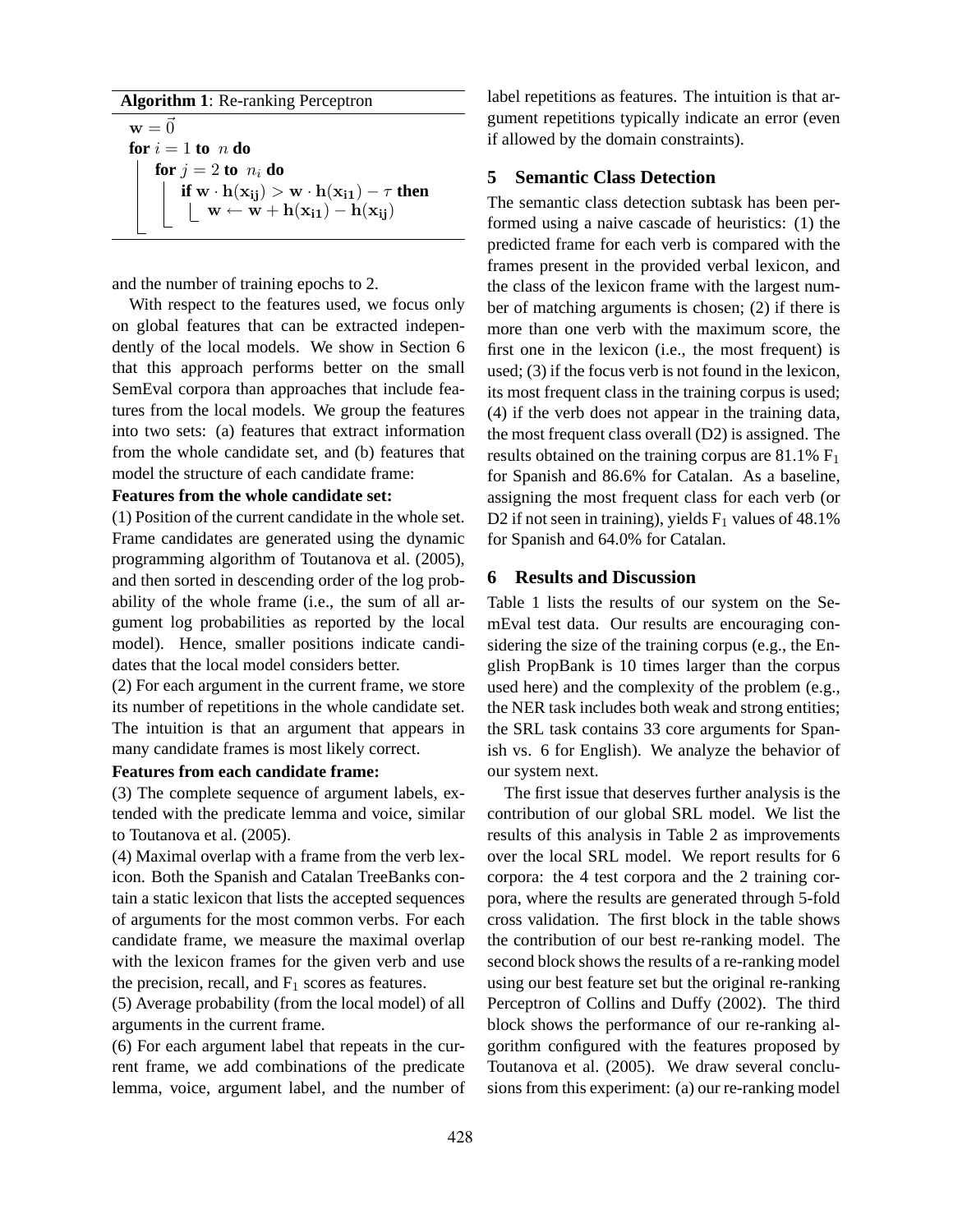#### **Algorithm 1**: Re-ranking Perceptron

 $\mathbf{w} = \vec{0}$ **for**  $i = 1$  **to**  $n$  **do for**  $j = 2$  **to**  $n_i$  **do if**  $w \cdot h(x_{ij}) > w \cdot h(x_{i1}) - \tau$  **then**  $\vert \quad \mathbf{w} \leftarrow \mathbf{w} + \mathbf{h}(\mathbf{x_{i1}}) - \mathbf{h}(\mathbf{x_{ij}})$ 

and the number of training epochs to 2.

With respect to the features used, we focus only on global features that can be extracted independently of the local models. We show in Section 6 that this approach performs better on the small SemEval corpora than approaches that include features from the local models. We group the features into two sets: (a) features that extract information from the whole candidate set, and (b) features that model the structure of each candidate frame:

### **Features from the whole candidate set:**

(1) Position of the current candidate in the whole set. Frame candidates are generated using the dynamic programming algorithm of Toutanova et al. (2005), and then sorted in descending order of the log probability of the whole frame (i.e., the sum of all argument log probabilities as reported by the local model). Hence, smaller positions indicate candidates that the local model considers better.

(2) For each argument in the current frame, we store its number of repetitions in the whole candidate set. The intuition is that an argument that appears in many candidate frames is most likely correct.

#### **Features from each candidate frame:**

(3) The complete sequence of argument labels, extended with the predicate lemma and voice, similar to Toutanova et al. (2005).

(4) Maximal overlap with a frame from the verb lexicon. Both the Spanish and Catalan TreeBanks contain a static lexicon that lists the accepted sequences of arguments for the most common verbs. For each candidate frame, we measure the maximal overlap with the lexicon frames for the given verb and use the precision, recall, and  $F_1$  scores as features.

(5) Average probability (from the local model) of all arguments in the current frame.

(6) For each argument label that repeats in the current frame, we add combinations of the predicate lemma, voice, argument label, and the number of label repetitions as features. The intuition is that argument repetitions typically indicate an error (even if allowed by the domain constraints).

### **5 Semantic Class Detection**

The semantic class detection subtask has been performed using a naive cascade of heuristics: (1) the predicted frame for each verb is compared with the frames present in the provided verbal lexicon, and the class of the lexicon frame with the largest number of matching arguments is chosen; (2) if there is more than one verb with the maximum score, the first one in the lexicon (i.e., the most frequent) is used; (3) if the focus verb is not found in the lexicon, its most frequent class in the training corpus is used; (4) if the verb does not appear in the training data, the most frequent class overall (D2) is assigned. The results obtained on the training corpus are  $81.1\%$  F<sub>1</sub> for Spanish and 86.6% for Catalan. As a baseline, assigning the most frequent class for each verb (or D2 if not seen in training), yields  $F_1$  values of 48.1% for Spanish and 64.0% for Catalan.

## **6 Results and Discussion**

Table 1 lists the results of our system on the SemEval test data. Our results are encouraging considering the size of the training corpus (e.g., the English PropBank is 10 times larger than the corpus used here) and the complexity of the problem (e.g., the NER task includes both weak and strong entities; the SRL task contains 33 core arguments for Spanish vs. 6 for English). We analyze the behavior of our system next.

The first issue that deserves further analysis is the contribution of our global SRL model. We list the results of this analysis in Table 2 as improvements over the local SRL model. We report results for 6 corpora: the 4 test corpora and the 2 training corpora, where the results are generated through 5-fold cross validation. The first block in the table shows the contribution of our best re-ranking model. The second block shows the results of a re-ranking model using our best feature set but the original re-ranking Perceptron of Collins and Duffy (2002). The third block shows the performance of our re-ranking algorithm configured with the features proposed by Toutanova et al. (2005). We draw several conclusions from this experiment: (a) our re-ranking model